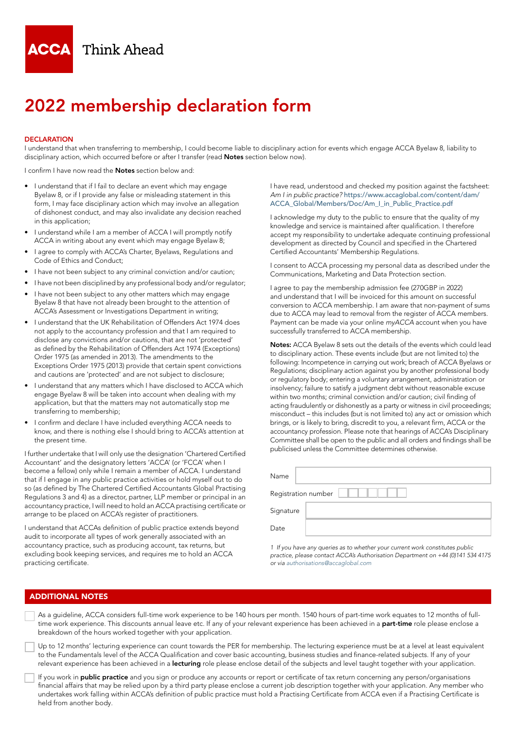

# 2022 membership declaration form

### **DECLARATION**

I understand that when transferring to membership, I could become liable to disciplinary action for events which engage ACCA Byelaw 8, liability to disciplinary action, which occurred before or after I transfer (read **Notes** section below now).

I confirm I have now read the **Notes** section below and:

- I understand that if I fail to declare an event which may engage Byelaw 8, or if I provide any false or misleading statement in this form, I may face disciplinary action which may involve an allegation of dishonest conduct, and may also invalidate any decision reached in this application;
- I understand while I am a member of ACCA I will promptly notify ACCA in writing about any event which may engage Byelaw 8;
- I agree to comply with ACCA's Charter, Byelaws, Regulations and Code of Ethics and Conduct;
- I have not been subject to any criminal conviction and/or caution;
- I have not been disciplined by any professional body and/or regulator;
- I have not been subject to any other matters which may engage Byelaw 8 that have not already been brought to the attention of ACCA's Assessment or Investigations Department in writing;
- I understand that the UK Rehabilitation of Offenders Act 1974 does not apply to the accountancy profession and that I am required to disclose any convictions and/or cautions, that are not 'protected' as defined by the Rehabilitation of Offenders Act 1974 (Exceptions) Order 1975 (as amended in 2013). The amendments to the Exceptions Order 1975 (2013) provide that certain spent convictions and cautions are 'protected' and are not subject to disclosure;
- I understand that any matters which I have disclosed to ACCA which engage Byelaw 8 will be taken into account when dealing with my application, but that the matters may not automatically stop me transferring to membership;
- I confirm and declare I have included everything ACCA needs to know, and there is nothing else I should bring to ACCA's attention at the present time.

I further undertake that I will only use the designation 'Chartered Certified Accountant' and the designatory letters 'ACCA' (or 'FCCA' when I become a fellow) only while I remain a member of ACCA. I understand that if I engage in any public practice activities or hold myself out to do so (as defined by The Chartered Certified Accountants Global Practising Regulations 3 and 4) as a director, partner, LLP member or principal in an accountancy practice, I will need to hold an ACCA practising certificate or arrange to be placed on ACCA's register of practitioners.

I understand that ACCAs definition of public practice extends beyond audit to incorporate all types of work generally associated with an accountancy practice, such as producing account, tax returns, but excluding book keeping services, and requires me to hold an ACCA practicing certificate.

I have read, understood and checked my position against the factsheet: *Am I in public practice?* [https://www.accaglobal.com/content/dam/](https://www.accaglobal.com/content/dam/ACCA_Global/Members/Doc/Am_I_in_Public_Practice.pdf) [ACCA\\_Global/Members/Doc/Am\\_I\\_in\\_Public\\_Practice.pdf](https://www.accaglobal.com/content/dam/ACCA_Global/Members/Doc/Am_I_in_Public_Practice.pdf)

I acknowledge my duty to the public to ensure that the quality of my knowledge and service is maintained after qualification. I therefore accept my responsibility to undertake adequate continuing professional development as directed by Council and specified in the Chartered Certified Accountants' Membership Regulations.

I consent to ACCA processing my personal data as described under the Communications, Marketing and Data Protection section.

I agree to pay the membership admission fee (270GBP in 2022) and understand that I will be invoiced for this amount on successful conversion to ACCA membership. I am aware that non-payment of sums due to ACCA may lead to removal from the register of ACCA members. Payment can be made via your online *myACCA* account when you have successfully transferred to ACCA membership.

Notes: ACCA Byelaw 8 sets out the details of the events which could lead to disciplinary action. These events include (but are not limited to) the following: Incompetence in carrying out work; breach of ACCA Byelaws or Regulations; disciplinary action against you by another professional body or regulatory body; entering a voluntary arrangement, administration or insolvency; failure to satisfy a judgment debt without reasonable excuse within two months; criminal conviction and/or caution; civil finding of acting fraudulently or dishonestly as a party or witness in civil proceedings; misconduct – this includes (but is not limited to) any act or omission which brings, or is likely to bring, discredit to you, a relevant firm, ACCA or the accountancy profession. Please note that hearings of ACCA's Disciplinary Committee shall be open to the public and all orders and findings shall be publicised unless the Committee determines otherwise.

| Name                |  |
|---------------------|--|
| Registration number |  |
| Signature           |  |
| Date                |  |

*1 If you have any queries as to whether your current work constitutes public practice, please contact ACCA's Authorisation Department on +44 (0)141 534 4175 or via [authorisations@accaglobal.com](mailto:authorisations%40accaglobal.com?subject=)*

## ADDITIONAL NOTES

As a guideline, ACCA considers full-time work experience to be 140 hours per month. 1540 hours of part-time work equates to 12 months of fulltime work experience. This discounts annual leave etc. If any of your relevant experience has been achieved in a **part-time** role please enclose a breakdown of the hours worked together with your application.

Up to 12 months' lecturing experience can count towards the PER for membership. The lecturing experience must be at a level at least equivalent to the Fundamentals level of the ACCA Qualification and cover basic accounting, business studies and finance-related subjects. If any of your relevant experience has been achieved in a lecturing role please enclose detail of the subjects and level taught together with your application.

If you work in **public practice** and you sign or produce any accounts or report or certificate of tax return concerning any person/organisations financial affairs that may be relied upon by a third party please enclose a current job description together with your application. Any member who undertakes work falling within ACCA's definition of public practice must hold a Practising Certificate from ACCA even if a Practising Certificate is held from another body.